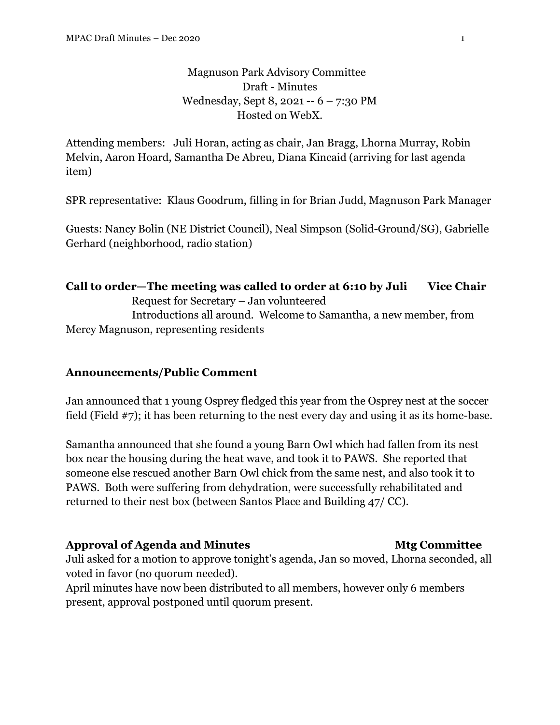# Magnuson Park Advisory Committee Draft - Minutes Wednesday, Sept 8, 2021 -- 6 – 7:30 PM Hosted on WebX.

Attending members: Juli Horan, acting as chair, Jan Bragg, Lhorna Murray, Robin Melvin, Aaron Hoard, Samantha De Abreu, Diana Kincaid (arriving for last agenda item)

SPR representative: Klaus Goodrum, filling in for Brian Judd, Magnuson Park Manager

Guests: Nancy Bolin (NE District Council), Neal Simpson (Solid-Ground/SG), Gabrielle Gerhard (neighborhood, radio station)

### **Call to order—The meeting was called to order at 6:10 by Juli Vice Chair**

Request for Secretary – Jan volunteered

 Introductions all around. Welcome to Samantha, a new member, from Mercy Magnuson, representing residents

### **Announcements/Public Comment**

Jan announced that 1 young Osprey fledged this year from the Osprey nest at the soccer field (Field #7); it has been returning to the nest every day and using it as its home-base.

Samantha announced that she found a young Barn Owl which had fallen from its nest box near the housing during the heat wave, and took it to PAWS. She reported that someone else rescued another Barn Owl chick from the same nest, and also took it to PAWS. Both were suffering from dehydration, were successfully rehabilitated and returned to their nest box (between Santos Place and Building 47/ CC).

### **Approval of Agenda and Minutes Mtg Committee**

Juli asked for a motion to approve tonight's agenda, Jan so moved, Lhorna seconded, all voted in favor (no quorum needed).

April minutes have now been distributed to all members, however only 6 members present, approval postponed until quorum present.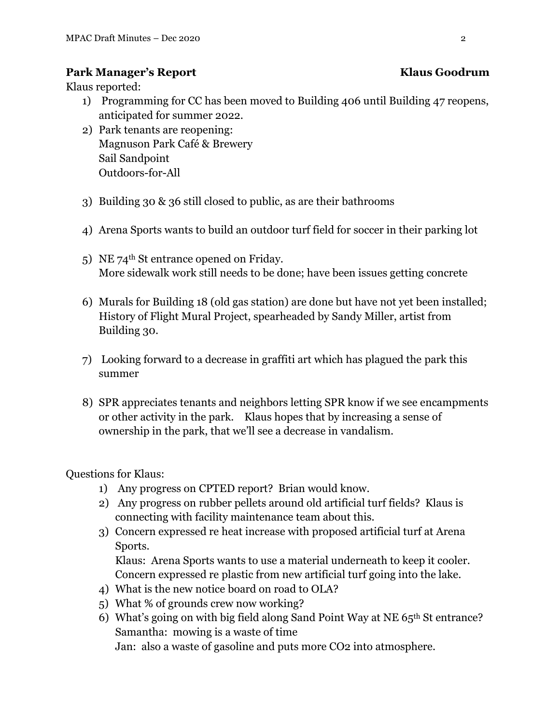# **Park Manager's Report Klaus Goodrum**

Klaus reported:

- 1) Programming for CC has been moved to Building 406 until Building 47 reopens, anticipated for summer 2022.
- 2) Park tenants are reopening: Magnuson Park Café & Brewery Sail Sandpoint Outdoors-for-All
- 3) Building 30 & 36 still closed to public, as are their bathrooms
- 4) Arena Sports wants to build an outdoor turf field for soccer in their parking lot
- 5) NE 74<sup>th</sup> St entrance opened on Friday. More sidewalk work still needs to be done; have been issues getting concrete
- 6) Murals for Building 18 (old gas station) are done but have not yet been installed; History of Flight Mural Project, spearheaded by Sandy Miller, artist from Building 30.
- 7) Looking forward to a decrease in graffiti art which has plagued the park this summer
- 8) SPR appreciates tenants and neighbors letting SPR know if we see encampments or other activity in the park. Klaus hopes that by increasing a sense of ownership in the park, that we'll see a decrease in vandalism.

Questions for Klaus:

- 1) Any progress on CPTED report? Brian would know.
- 2) Any progress on rubber pellets around old artificial turf fields? Klaus is connecting with facility maintenance team about this.
- 3) Concern expressed re heat increase with proposed artificial turf at Arena Sports.

Klaus: Arena Sports wants to use a material underneath to keep it cooler. Concern expressed re plastic from new artificial turf going into the lake.

- 4) What is the new notice board on road to OLA?
- 5) What % of grounds crew now working?
- 6) What's going on with big field along Sand Point Way at NE 65th St entrance? Samantha: mowing is a waste of time

Jan: also a waste of gasoline and puts more CO2 into atmosphere.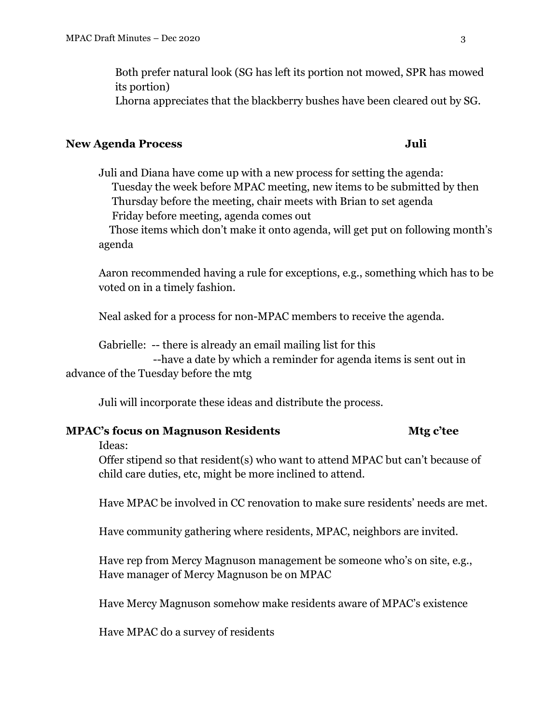Both prefer natural look (SG has left its portion not mowed, SPR has mowed its portion) Lhorna appreciates that the blackberry bushes have been cleared out by SG.

#### **New Agenda Process Juli**

Juli and Diana have come up with a new process for setting the agenda: Tuesday the week before MPAC meeting, new items to be submitted by then Thursday before the meeting, chair meets with Brian to set agenda Friday before meeting, agenda comes out

 Those items which don't make it onto agenda, will get put on following month's agenda

Aaron recommended having a rule for exceptions, e.g., something which has to be voted on in a timely fashion.

Neal asked for a process for non-MPAC members to receive the agenda.

Gabrielle: -- there is already an email mailing list for this

 --have a date by which a reminder for agenda items is sent out in advance of the Tuesday before the mtg

Juli will incorporate these ideas and distribute the process.

### **MPAC's focus on Magnuson Residents Mtg c'tee**

Ideas:

Offer stipend so that resident(s) who want to attend MPAC but can't because of child care duties, etc, might be more inclined to attend.

Have MPAC be involved in CC renovation to make sure residents' needs are met.

Have community gathering where residents, MPAC, neighbors are invited.

Have rep from Mercy Magnuson management be someone who's on site, e.g., Have manager of Mercy Magnuson be on MPAC

Have Mercy Magnuson somehow make residents aware of MPAC's existence

Have MPAC do a survey of residents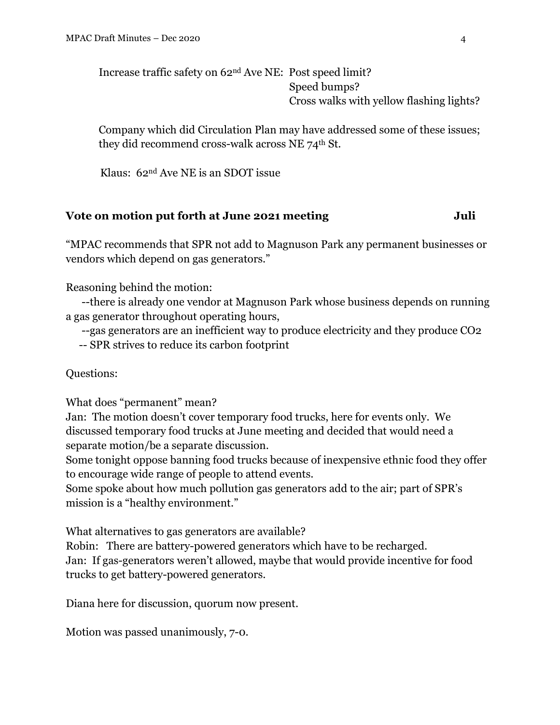Increase traffic safety on 62nd Ave NE: Post speed limit? Speed bumps? Cross walks with yellow flashing lights?

Company which did Circulation Plan may have addressed some of these issues; they did recommend cross-walk across NE 74th St.

Klaus: 62nd Ave NE is an SDOT issue

# **Vote on motion put forth at June 2021 meeting Juli**

"MPAC recommends that SPR not add to Magnuson Park any permanent businesses or vendors which depend on gas generators."

Reasoning behind the motion:

 --there is already one vendor at Magnuson Park whose business depends on running a gas generator throughout operating hours,

--gas generators are an inefficient way to produce electricity and they produce CO2

-- SPR strives to reduce its carbon footprint

Questions:

What does "permanent" mean?

Jan: The motion doesn't cover temporary food trucks, here for events only. We discussed temporary food trucks at June meeting and decided that would need a separate motion/be a separate discussion.

Some tonight oppose banning food trucks because of inexpensive ethnic food they offer to encourage wide range of people to attend events.

Some spoke about how much pollution gas generators add to the air; part of SPR's mission is a "healthy environment."

What alternatives to gas generators are available?

Robin: There are battery-powered generators which have to be recharged. Jan: If gas-generators weren't allowed, maybe that would provide incentive for food trucks to get battery-powered generators.

Diana here for discussion, quorum now present.

Motion was passed unanimously, 7-0.